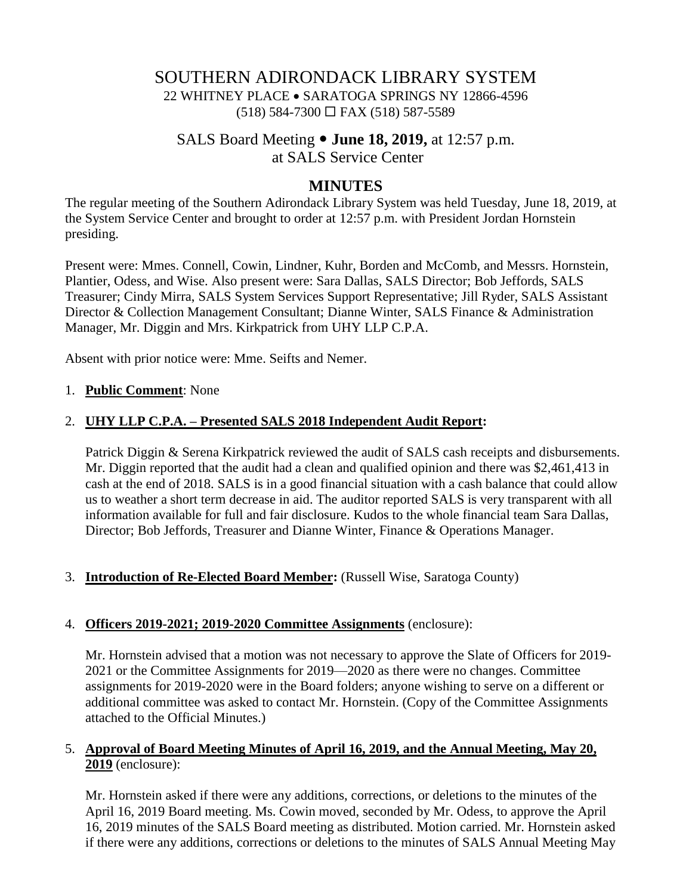# SOUTHERN ADIRONDACK LIBRARY SYSTEM 22 WHITNEY PLACE • SARATOGA SPRINGS NY 12866-4596  $(518)$  584-7300  $\Box$  FAX (518) 587-5589

# SALS Board Meeting **June 18, 2019,** at 12:57 p.m. at SALS Service Center

# **MINUTES**

The regular meeting of the Southern Adirondack Library System was held Tuesday, June 18, 2019, at the System Service Center and brought to order at 12:57 p.m. with President Jordan Hornstein presiding.

Present were: Mmes. Connell, Cowin, Lindner, Kuhr, Borden and McComb, and Messrs. Hornstein, Plantier, Odess, and Wise. Also present were: Sara Dallas, SALS Director; Bob Jeffords, SALS Treasurer; Cindy Mirra, SALS System Services Support Representative; Jill Ryder, SALS Assistant Director & Collection Management Consultant; Dianne Winter, SALS Finance & Administration Manager, Mr. Diggin and Mrs. Kirkpatrick from UHY LLP C.P.A.

Absent with prior notice were: Mme. Seifts and Nemer.

### 1. **Public Comment**: None

### 2. **UHY LLP C.P.A. – Presented SALS 2018 Independent Audit Report:**

Patrick Diggin & Serena Kirkpatrick reviewed the audit of SALS cash receipts and disbursements. Mr. Diggin reported that the audit had a clean and qualified opinion and there was \$2,461,413 in cash at the end of 2018. SALS is in a good financial situation with a cash balance that could allow us to weather a short term decrease in aid. The auditor reported SALS is very transparent with all information available for full and fair disclosure. Kudos to the whole financial team Sara Dallas, Director; Bob Jeffords, Treasurer and Dianne Winter, Finance & Operations Manager.

### 3. **Introduction of Re-Elected Board Member:** (Russell Wise, Saratoga County)

### 4. **Officers 2019-2021; 2019-2020 Committee Assignments** (enclosure):

Mr. Hornstein advised that a motion was not necessary to approve the Slate of Officers for 2019- 2021 or the Committee Assignments for 2019—2020 as there were no changes. Committee assignments for 2019-2020 were in the Board folders; anyone wishing to serve on a different or additional committee was asked to contact Mr. Hornstein. (Copy of the Committee Assignments attached to the Official Minutes.)

## 5. **Approval of Board Meeting Minutes of April 16, 2019, and the Annual Meeting, May 20, 2019** (enclosure):

Mr. Hornstein asked if there were any additions, corrections, or deletions to the minutes of the April 16, 2019 Board meeting. Ms. Cowin moved, seconded by Mr. Odess, to approve the April 16, 2019 minutes of the SALS Board meeting as distributed. Motion carried. Mr. Hornstein asked if there were any additions, corrections or deletions to the minutes of SALS Annual Meeting May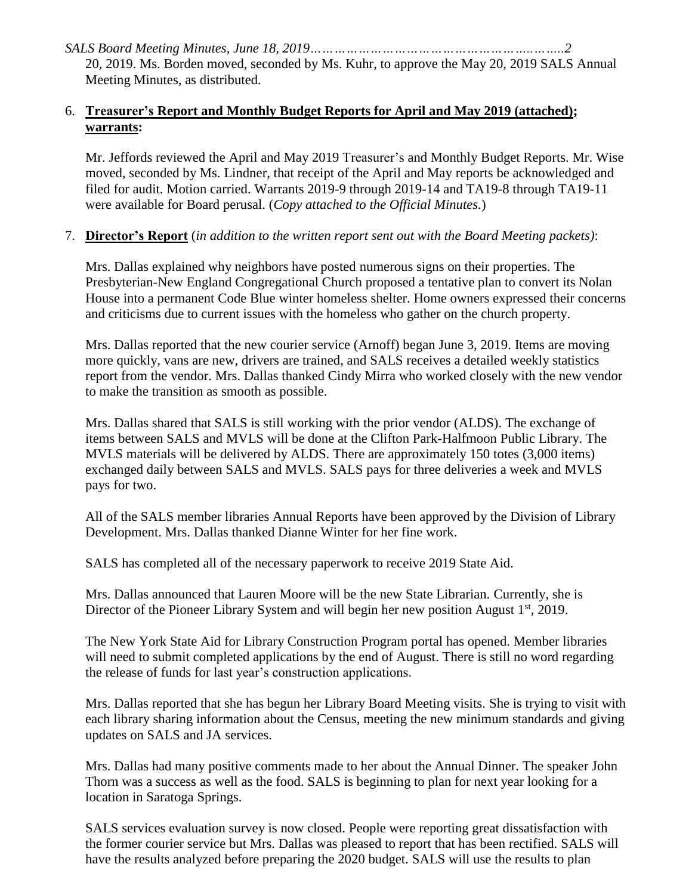## 6. **Treasurer's Report and Monthly Budget Reports for April and May 2019 (attached); warrants:**

Mr. Jeffords reviewed the April and May 2019 Treasurer's and Monthly Budget Reports. Mr. Wise moved, seconded by Ms. Lindner, that receipt of the April and May reports be acknowledged and filed for audit. Motion carried. Warrants 2019-9 through 2019-14 and TA19-8 through TA19-11 were available for Board perusal. (*Copy attached to the Official Minutes.*)

# 7. **Director's Report** (*in addition to the written report sent out with the Board Meeting packets)*:

Mrs. Dallas explained why neighbors have posted numerous signs on their properties. The Presbyterian-New England Congregational Church proposed a tentative plan to convert its Nolan House into a permanent Code Blue winter homeless shelter. Home owners expressed their concerns and criticisms due to current issues with the homeless who gather on the church property.

Mrs. Dallas reported that the new courier service (Arnoff) began June 3, 2019. Items are moving more quickly, vans are new, drivers are trained, and SALS receives a detailed weekly statistics report from the vendor. Mrs. Dallas thanked Cindy Mirra who worked closely with the new vendor to make the transition as smooth as possible.

Mrs. Dallas shared that SALS is still working with the prior vendor (ALDS). The exchange of items between SALS and MVLS will be done at the Clifton Park-Halfmoon Public Library. The MVLS materials will be delivered by ALDS. There are approximately 150 totes (3,000 items) exchanged daily between SALS and MVLS. SALS pays for three deliveries a week and MVLS pays for two.

All of the SALS member libraries Annual Reports have been approved by the Division of Library Development. Mrs. Dallas thanked Dianne Winter for her fine work.

SALS has completed all of the necessary paperwork to receive 2019 State Aid.

Mrs. Dallas announced that Lauren Moore will be the new State Librarian. Currently, she is Director of the Pioneer Library System and will begin her new position August  $1<sup>st</sup>$ , 2019.

The New York State Aid for Library Construction Program portal has opened. Member libraries will need to submit completed applications by the end of August. There is still no word regarding the release of funds for last year's construction applications.

Mrs. Dallas reported that she has begun her Library Board Meeting visits. She is trying to visit with each library sharing information about the Census, meeting the new minimum standards and giving updates on SALS and JA services.

Mrs. Dallas had many positive comments made to her about the Annual Dinner. The speaker John Thorn was a success as well as the food. SALS is beginning to plan for next year looking for a location in Saratoga Springs.

SALS services evaluation survey is now closed. People were reporting great dissatisfaction with the former courier service but Mrs. Dallas was pleased to report that has been rectified. SALS will have the results analyzed before preparing the 2020 budget. SALS will use the results to plan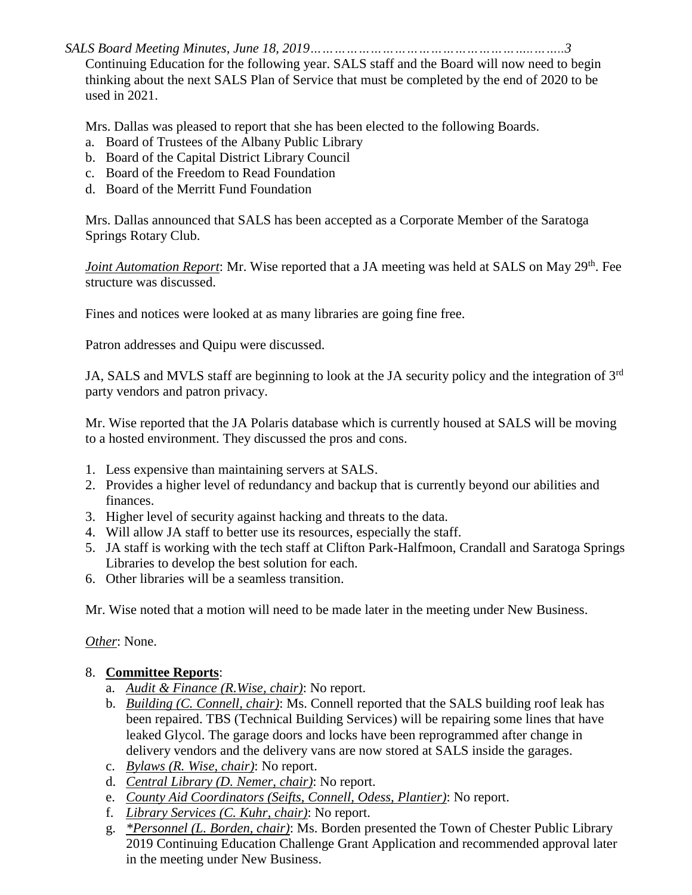*SALS Board Meeting Minutes, June 18, 2019………………………………………………..……..3*

Continuing Education for the following year. SALS staff and the Board will now need to begin thinking about the next SALS Plan of Service that must be completed by the end of 2020 to be used in 2021.

Mrs. Dallas was pleased to report that she has been elected to the following Boards.

- a. Board of Trustees of the Albany Public Library
- b. Board of the Capital District Library Council
- c. Board of the Freedom to Read Foundation
- d. Board of the Merritt Fund Foundation

Mrs. Dallas announced that SALS has been accepted as a Corporate Member of the Saratoga Springs Rotary Club.

Joint Automation Report: Mr. Wise reported that a JA meeting was held at SALS on May 29<sup>th</sup>. Fee structure was discussed.

Fines and notices were looked at as many libraries are going fine free.

Patron addresses and Quipu were discussed.

JA, SALS and MVLS staff are beginning to look at the JA security policy and the integration of 3rd party vendors and patron privacy.

Mr. Wise reported that the JA Polaris database which is currently housed at SALS will be moving to a hosted environment. They discussed the pros and cons.

- 1. Less expensive than maintaining servers at SALS.
- 2. Provides a higher level of redundancy and backup that is currently beyond our abilities and finances.
- 3. Higher level of security against hacking and threats to the data.
- 4. Will allow JA staff to better use its resources, especially the staff.
- 5. JA staff is working with the tech staff at Clifton Park-Halfmoon, Crandall and Saratoga Springs Libraries to develop the best solution for each.
- 6. Other libraries will be a seamless transition.

Mr. Wise noted that a motion will need to be made later in the meeting under New Business.

*Other*: None.

## 8. **Committee Reports**:

- a. *Audit & Finance (R.Wise, chair)*: No report.
- b. *Building (C. Connell, chair)*: Ms. Connell reported that the SALS building roof leak has been repaired. TBS (Technical Building Services) will be repairing some lines that have leaked Glycol. The garage doors and locks have been reprogrammed after change in delivery vendors and the delivery vans are now stored at SALS inside the garages.
- c. *Bylaws (R. Wise, chair)*: No report.
- d. *Central Library (D. Nemer, chair)*: No report.
- e. *County Aid Coordinators (Seifts, Connell, Odess, Plantier)*: No report.
- f. *Library Services (C. Kuhr, chair)*: No report.
- g. *\*Personnel (L. Borden, chair)*: Ms. Borden presented the Town of Chester Public Library 2019 Continuing Education Challenge Grant Application and recommended approval later in the meeting under New Business.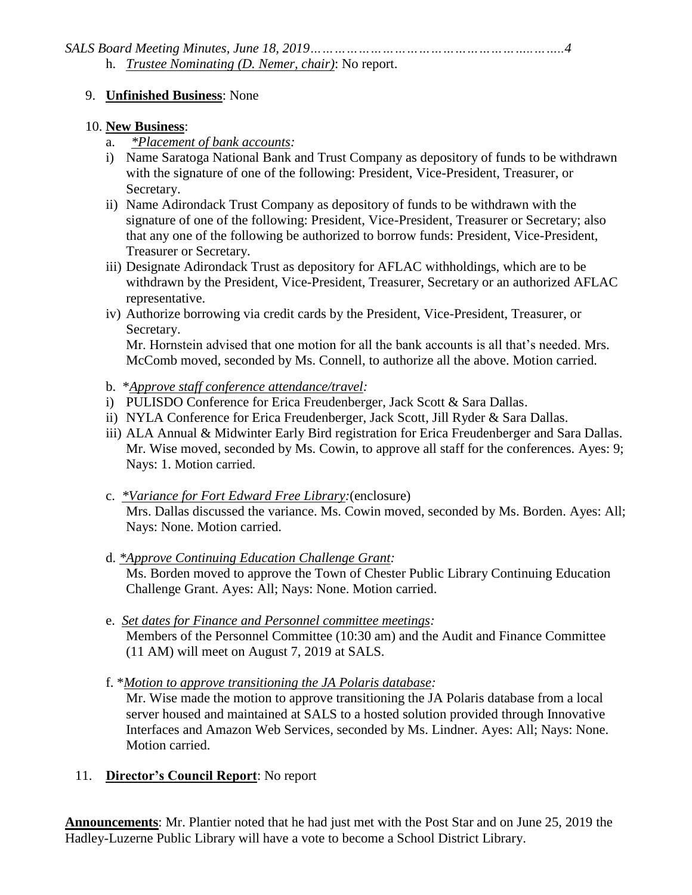## 9. **Unfinished Business**: None

## 10. **New Business**:

- a. *\*Placement of bank accounts:*
- i) Name Saratoga National Bank and Trust Company as depository of funds to be withdrawn with the signature of one of the following: President, Vice-President, Treasurer, or Secretary.
- ii) Name Adirondack Trust Company as depository of funds to be withdrawn with the signature of one of the following: President, Vice-President, Treasurer or Secretary; also that any one of the following be authorized to borrow funds: President, Vice-President, Treasurer or Secretary.
- iii) Designate Adirondack Trust as depository for AFLAC withholdings, which are to be withdrawn by the President, Vice-President, Treasurer, Secretary or an authorized AFLAC representative.
- iv) Authorize borrowing via credit cards by the President, Vice-President, Treasurer, or Secretary.

Mr. Hornstein advised that one motion for all the bank accounts is all that's needed. Mrs. McComb moved, seconded by Ms. Connell, to authorize all the above. Motion carried.

- b. \**Approve staff conference attendance/travel:*
- i) PULISDO Conference for Erica Freudenberger, Jack Scott & Sara Dallas.
- ii) NYLA Conference for Erica Freudenberger, Jack Scott, Jill Ryder & Sara Dallas.
- iii) ALA Annual & Midwinter Early Bird registration for Erica Freudenberger and Sara Dallas. Mr. Wise moved, seconded by Ms. Cowin, to approve all staff for the conferences. Ayes: 9; Nays: 1. Motion carried.
- c. *\*Variance for Fort Edward Free Library:*(enclosure) Mrs. Dallas discussed the variance. Ms. Cowin moved, seconded by Ms. Borden. Ayes: All; Nays: None. Motion carried.
- d. *\*Approve Continuing Education Challenge Grant:* Ms. Borden moved to approve the Town of Chester Public Library Continuing Education Challenge Grant. Ayes: All; Nays: None. Motion carried.
- e. *Set dates for Finance and Personnel committee meetings:* Members of the Personnel Committee (10:30 am) and the Audit and Finance Committee (11 AM) will meet on August 7, 2019 at SALS.
- f. \**Motion to approve transitioning the JA Polaris database:*

Mr. Wise made the motion to approve transitioning the JA Polaris database from a local server housed and maintained at SALS to a hosted solution provided through Innovative Interfaces and Amazon Web Services*,* seconded by Ms. Lindner. Ayes: All; Nays: None. Motion carried.

11. **Director's Council Report**: No report

**Announcements**: Mr. Plantier noted that he had just met with the Post Star and on June 25, 2019 the Hadley-Luzerne Public Library will have a vote to become a School District Library.